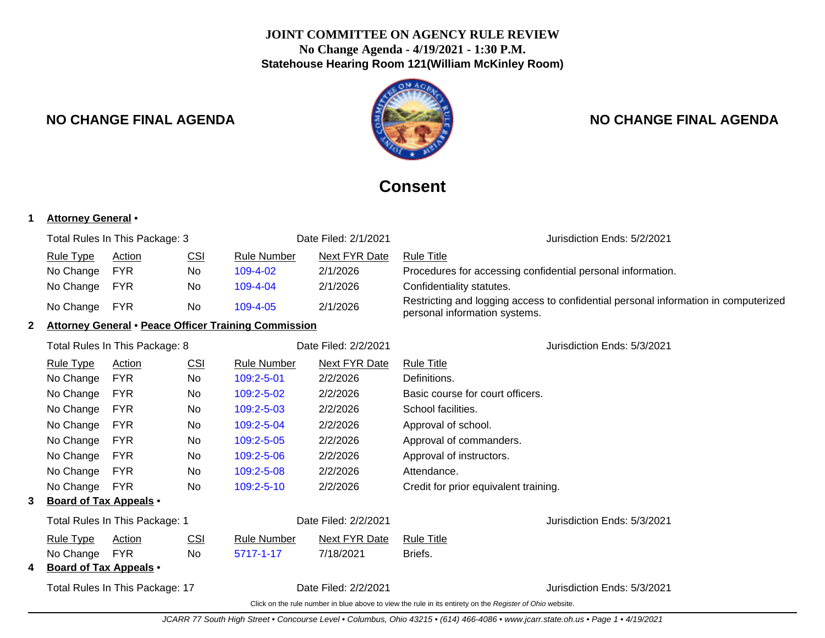# **JOINT COMMITTEE ON AGENCY RULE REVIEW No Change Agenda - 4/19/2021 - 1:30 P.M. Statehouse Hearing Room 121(William McKinley Room)**

# **NO CHANGE FINAL AGENDA NO CHANGE FINAL AGENDA**

# **Consent**

# **1 Attorney General** •

|   | Total Rules In This Package: 3                              |            | Date Filed: 2/1/2021 |                      | Jurisdiction Ends: 5/2/2021 |                                                                                                                      |
|---|-------------------------------------------------------------|------------|----------------------|----------------------|-----------------------------|----------------------------------------------------------------------------------------------------------------------|
|   | <b>Rule Type</b>                                            | Action     | <u>CSI</u>           | <b>Rule Number</b>   | <b>Next FYR Date</b>        | <b>Rule Title</b>                                                                                                    |
|   | No Change                                                   | <b>FYR</b> | No.                  | 109-4-02             | 2/1/2026                    | Procedures for accessing confidential personal information.                                                          |
|   | No Change                                                   | <b>FYR</b> | No                   | 109-4-04             | 2/1/2026                    | Confidentiality statutes.                                                                                            |
|   | No Change                                                   | <b>FYR</b> | No                   | 109-4-05             | 2/1/2026                    | Restricting and logging access to confidential personal information in computerized<br>personal information systems. |
| 2 | <b>Attorney General • Peace Officer Training Commission</b> |            |                      |                      |                             |                                                                                                                      |
|   | Total Rules In This Package: 8                              |            |                      | Date Filed: 2/2/2021 |                             | Jurisdiction Ends: 5/3/2021                                                                                          |
|   | Rule Type                                                   | Action     | <u>CSI</u>           | <b>Rule Number</b>   | Next FYR Date               | <b>Rule Title</b>                                                                                                    |
|   | No Change                                                   | <b>FYR</b> | <b>No</b>            | 109:2-5-01           | 2/2/2026                    | Definitions.                                                                                                         |
|   | No Change                                                   | <b>FYR</b> | No                   | 109:2-5-02           | 2/2/2026                    | Basic course for court officers.                                                                                     |
|   | No Change                                                   | <b>FYR</b> | No                   | 109:2-5-03           | 2/2/2026                    | School facilities.                                                                                                   |
|   | No Change                                                   | <b>FYR</b> | No                   | 109:2-5-04           | 2/2/2026                    | Approval of school.                                                                                                  |
|   | No Change                                                   | <b>FYR</b> | No                   | 109:2-5-05           | 2/2/2026                    | Approval of commanders.                                                                                              |
|   | No Change                                                   | <b>FYR</b> | No                   | 109:2-5-06           | 2/2/2026                    | Approval of instructors.                                                                                             |
|   | No Change                                                   | <b>FYR</b> | No                   | 109:2-5-08           | 2/2/2026                    | Attendance.                                                                                                          |
|   | No Change                                                   | <b>FYR</b> | No                   | 109:2-5-10           | 2/2/2026                    | Credit for prior equivalent training.                                                                                |
| 3 | <b>Board of Tax Appeals •</b>                               |            |                      |                      |                             |                                                                                                                      |
|   | Total Rules In This Package: 1                              |            |                      | Date Filed: 2/2/2021 | Jurisdiction Ends: 5/3/2021 |                                                                                                                      |
|   | <b>Rule Type</b>                                            | Action     | CSI                  | <b>Rule Number</b>   | <b>Next FYR Date</b>        | <b>Rule Title</b>                                                                                                    |
|   | No Change                                                   | <b>FYR</b> | No.                  | 5717-1-17            | 7/18/2021                   | Briefs.                                                                                                              |
|   | <b>Board of Tax Appeals •</b>                               |            |                      |                      |                             |                                                                                                                      |
|   | Total Rules In This Package: 17<br>Date Filed: 2/2/2021     |            |                      |                      |                             | Jurisdiction Ends: 5/3/2021                                                                                          |
|   |                                                             |            |                      |                      |                             | Click on the rule number in blue above to view the rule in its entirety on the Register of Ohio website.             |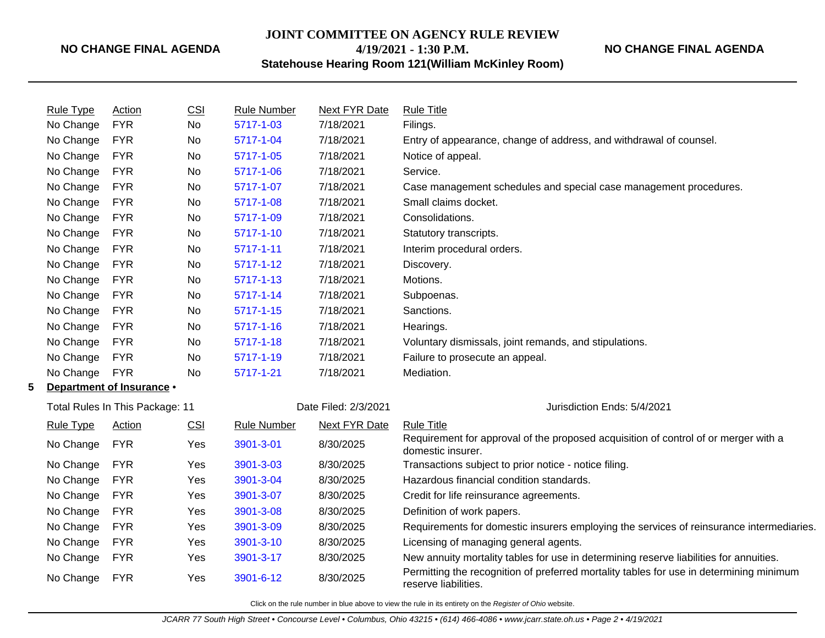# **JOINT COMMITTEE ON AGENCY RULE REVIEW 4/19/2021 - 1:30 P.M.**

**NO CHANGE FINAL AGENDA**

**Statehouse Hearing Room 121(William McKinley Room)**

|    | Rule Type        | Action                                                  | <b>CSI</b> | <b>Rule Number</b> | Next FYR Date               | <b>Rule Title</b>                                                                                               |
|----|------------------|---------------------------------------------------------|------------|--------------------|-----------------------------|-----------------------------------------------------------------------------------------------------------------|
|    | No Change        | <b>FYR</b>                                              | No         | 5717-1-03          | 7/18/2021                   | Filings.                                                                                                        |
|    | No Change        | <b>FYR</b>                                              | No         | 5717-1-04          | 7/18/2021                   | Entry of appearance, change of address, and withdrawal of counsel.                                              |
|    | No Change        | <b>FYR</b>                                              | <b>No</b>  | 5717-1-05          | 7/18/2021                   | Notice of appeal.                                                                                               |
|    | No Change        | <b>FYR</b>                                              | <b>No</b>  | 5717-1-06          | 7/18/2021                   | Service.                                                                                                        |
|    | No Change        | <b>FYR</b>                                              | <b>No</b>  | 5717-1-07          | 7/18/2021                   | Case management schedules and special case management procedures.                                               |
|    | No Change        | <b>FYR</b>                                              | <b>No</b>  | 5717-1-08          | 7/18/2021                   | Small claims docket.                                                                                            |
|    | No Change        | <b>FYR</b>                                              | No         | 5717-1-09          | 7/18/2021                   | Consolidations.                                                                                                 |
|    | No Change        | <b>FYR</b>                                              | No         | 5717-1-10          | 7/18/2021                   | Statutory transcripts.                                                                                          |
|    | No Change        | <b>FYR</b>                                              | No         | $5717 - 1 - 11$    | 7/18/2021                   | Interim procedural orders.                                                                                      |
|    | No Change        | <b>FYR</b>                                              | No         | 5717-1-12          | 7/18/2021                   | Discovery.                                                                                                      |
|    | No Change        | <b>FYR</b>                                              | No         | 5717-1-13          | 7/18/2021                   | Motions.                                                                                                        |
|    | No Change        | <b>FYR</b>                                              | No         | 5717-1-14          | 7/18/2021                   | Subpoenas.                                                                                                      |
|    | No Change        | <b>FYR</b>                                              | No         | 5717-1-15          | 7/18/2021                   | Sanctions.                                                                                                      |
|    | No Change        | <b>FYR</b>                                              | No         | 5717-1-16          | 7/18/2021                   | Hearings.                                                                                                       |
|    | No Change        | <b>FYR</b>                                              | No         | 5717-1-18          | 7/18/2021                   | Voluntary dismissals, joint remands, and stipulations.                                                          |
|    | No Change        | <b>FYR</b>                                              | No         | 5717-1-19          | 7/18/2021                   | Failure to prosecute an appeal.                                                                                 |
|    | No Change        | <b>FYR</b>                                              | No         | 5717-1-21          | 7/18/2021                   | Mediation.                                                                                                      |
| 5. |                  | Department of Insurance .                               |            |                    |                             |                                                                                                                 |
|    |                  | Date Filed: 2/3/2021<br>Total Rules In This Package: 11 |            |                    | Jurisdiction Ends: 5/4/2021 |                                                                                                                 |
|    | <b>Rule Type</b> | Action                                                  | <b>CSI</b> | <b>Rule Number</b> | <b>Next FYR Date</b>        | <b>Rule Title</b>                                                                                               |
|    | No Change        | <b>FYR</b>                                              | Yes        | 3901-3-01          | 8/30/2025                   | Requirement for approval of the proposed acquisition of control of or merger with a<br>domestic insurer.        |
|    | No Change        | <b>FYR</b>                                              | Yes        | 3901-3-03          | 8/30/2025                   | Transactions subject to prior notice - notice filing.                                                           |
|    | No Change        | <b>FYR</b>                                              | Yes        | 3901-3-04          | 8/30/2025                   | Hazardous financial condition standards.                                                                        |
|    | No Change        | <b>FYR</b>                                              | Yes        | 3901-3-07          | 8/30/2025                   | Credit for life reinsurance agreements.                                                                         |
|    | No Change        | <b>FYR</b>                                              | Yes        | 3901-3-08          | 8/30/2025                   | Definition of work papers.                                                                                      |
|    | No Change        | <b>FYR</b>                                              | Yes        | 3901-3-09          | 8/30/2025                   | Requirements for domestic insurers employing the services of reinsurance intermediaries.                        |
|    | No Change        | <b>FYR</b>                                              | Yes        | 3901-3-10          | 8/30/2025                   | Licensing of managing general agents.                                                                           |
|    | No Change        | <b>FYR</b>                                              | Yes        | 3901-3-17          | 8/30/2025                   | New annuity mortality tables for use in determining reserve liabilities for annuities.                          |
|    | No Change        | <b>FYR</b>                                              | Yes        | 3901-6-12          | 8/30/2025                   | Permitting the recognition of preferred mortality tables for use in determining minimum<br>reserve liabilities. |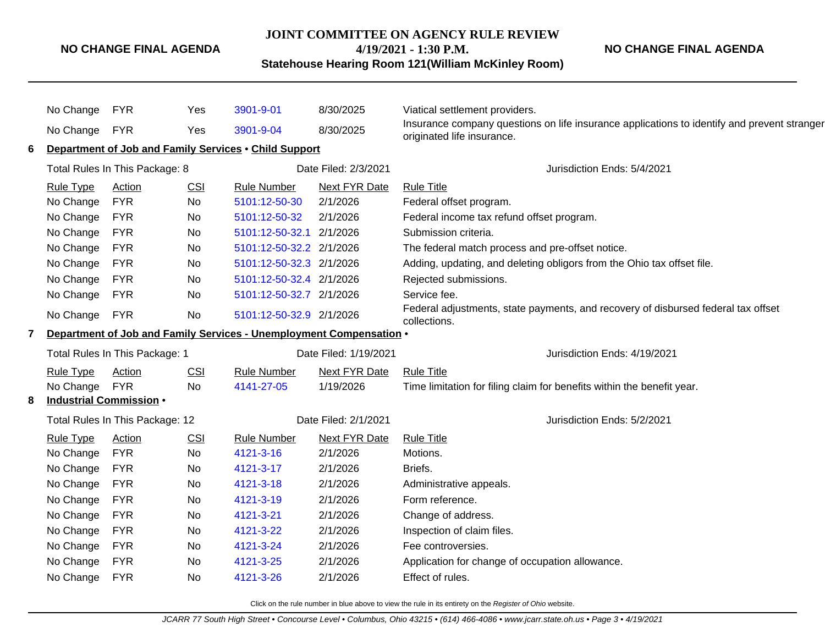#### **JOINT COMMITTEE ON AGENCY RULE REVIEW**

**4/19/2021 - 1:30 P.M.**

**Statehouse Hearing Room 121(William McKinley Room)**

No Change FYR Yes [3901-9-01](http://www.registerofohio.state.oh.us/jsps/publicdisplayrules/processPublicDisplayRules.jsp?entered_rule_no=3901-9-01&doWhat=GETBYRULENUM&raID=0) 8/30/2025 Viatical settlement providers. No Change FYR Yes [3901-9-04](http://www.registerofohio.state.oh.us/jsps/publicdisplayrules/processPublicDisplayRules.jsp?entered_rule_no=3901-9-04&doWhat=GETBYRULENUM&raID=0) 8/30/2025 Insurance company questions on life insurance applications to identify and prevent stranger originated life insurance. **6 Department of Job and Family Services** • **Child Support** Total Rules In This Package: 8 Date Filed: 2/3/2021 Jurisdiction Ends: 5/4/2021 Rule Type Action CSI Rule Number Next FYR Date Rule Title No Change FYR No [5101:12-50-30](http://www.registerofohio.state.oh.us/jsps/publicdisplayrules/processPublicDisplayRules.jsp?entered_rule_no=5101:12-50-30&doWhat=GETBYRULENUM&raID=0) 2/1/2026 Federal offset program. No Change FYR No [5101:12-50-32](http://www.registerofohio.state.oh.us/jsps/publicdisplayrules/processPublicDisplayRules.jsp?entered_rule_no=5101:12-50-32&doWhat=GETBYRULENUM&raID=0) 2/1/2026 Federal income tax refund offset program. No Change FYR No [5101:12-50-32.1](http://www.registerofohio.state.oh.us/jsps/publicdisplayrules/processPublicDisplayRules.jsp?entered_rule_no=5101:12-50-32.1&doWhat=GETBYRULENUM&raID=0) 2/1/2026 Submission criteria. No Change FYR No [5101:12-50-32.2](http://www.registerofohio.state.oh.us/jsps/publicdisplayrules/processPublicDisplayRules.jsp?entered_rule_no=5101:12-50-32.2&doWhat=GETBYRULENUM&raID=0) 2/1/2026 The federal match process and pre-offset notice. No Change FYR No [5101:12-50-32.3](http://www.registerofohio.state.oh.us/jsps/publicdisplayrules/processPublicDisplayRules.jsp?entered_rule_no=5101:12-50-32.3&doWhat=GETBYRULENUM&raID=0) 2/1/2026 Adding, updating, and deleting obligors from the Ohio tax offset file. No Change FYR No [5101:12-50-32.4](http://www.registerofohio.state.oh.us/jsps/publicdisplayrules/processPublicDisplayRules.jsp?entered_rule_no=5101:12-50-32.4&doWhat=GETBYRULENUM&raID=0) 2/1/2026 Rejected submissions. No Change FYR No [5101:12-50-32.7](http://www.registerofohio.state.oh.us/jsps/publicdisplayrules/processPublicDisplayRules.jsp?entered_rule_no=5101:12-50-32.7&doWhat=GETBYRULENUM&raID=0) 2/1/2026 Service fee. No Change FYR No [5101:12-50-32.9](http://www.registerofohio.state.oh.us/jsps/publicdisplayrules/processPublicDisplayRules.jsp?entered_rule_no=5101:12-50-32.9&doWhat=GETBYRULENUM&raID=0) 2/1/2026 Federal adjustments, state payments, and recovery of disbursed federal tax offset collections. **7 Department of Job and Family Services - Unemployment Compensation** • Total Rules In This Package: 1 The Contract Contract Contract Public Date Filed: 1/19/2021 The United Structure Rule Type Action CSI Rule Number Next FYR Date Rule Title No Change FYR No [4141-27-05](http://www.registerofohio.state.oh.us/jsps/publicdisplayrules/processPublicDisplayRules.jsp?entered_rule_no=4141-27-05&doWhat=GETBYRULENUM&raID=0) 1/19/2026 Time limitation for filing claim for benefits within the benefit year. **8 Industrial Commission** • Total Rules In This Package: 12 Date Filed: 2/1/2021 Jurisdiction Ends: 5/2/2021 Rule Type Action CSI Rule Number Next FYR Date Rule Title No Change FYR No [4121-3-16](http://www.registerofohio.state.oh.us/jsps/publicdisplayrules/processPublicDisplayRules.jsp?entered_rule_no=4121-3-16&doWhat=GETBYRULENUM&raID=0) 2/1/2026 Motions. No Change FYR No [4121-3-17](http://www.registerofohio.state.oh.us/jsps/publicdisplayrules/processPublicDisplayRules.jsp?entered_rule_no=4121-3-17&doWhat=GETBYRULENUM&raID=0) 2/1/2026 Briefs. No Change FYR No [4121-3-18](http://www.registerofohio.state.oh.us/jsps/publicdisplayrules/processPublicDisplayRules.jsp?entered_rule_no=4121-3-18&doWhat=GETBYRULENUM&raID=0) 2/1/2026 Administrative appeals. No Change FYR No [4121-3-19](http://www.registerofohio.state.oh.us/jsps/publicdisplayrules/processPublicDisplayRules.jsp?entered_rule_no=4121-3-19&doWhat=GETBYRULENUM&raID=0) 2/1/2026 Form reference. No Change FYR No [4121-3-21](http://www.registerofohio.state.oh.us/jsps/publicdisplayrules/processPublicDisplayRules.jsp?entered_rule_no=4121-3-21&doWhat=GETBYRULENUM&raID=0) 2/1/2026 Change of address. No Change FYR No [4121-3-22](http://www.registerofohio.state.oh.us/jsps/publicdisplayrules/processPublicDisplayRules.jsp?entered_rule_no=4121-3-22&doWhat=GETBYRULENUM&raID=0) 2/1/2026 Inspection of claim files. No Change FYR No [4121-3-24](http://www.registerofohio.state.oh.us/jsps/publicdisplayrules/processPublicDisplayRules.jsp?entered_rule_no=4121-3-24&doWhat=GETBYRULENUM&raID=0) 2/1/2026 Fee controversies. No Change FYR No [4121-3-25](http://www.registerofohio.state.oh.us/jsps/publicdisplayrules/processPublicDisplayRules.jsp?entered_rule_no=4121-3-25&doWhat=GETBYRULENUM&raID=0) 2/1/2026 Application for change of occupation allowance. No Change FYR No [4121-3-26](http://www.registerofohio.state.oh.us/jsps/publicdisplayrules/processPublicDisplayRules.jsp?entered_rule_no=4121-3-26&doWhat=GETBYRULENUM&raID=0) 2/1/2026 Effect of rules.

Click on the rule number in blue above to view the rule in its entirety on the Register of Ohio website.

**NO CHANGE FINAL AGENDA**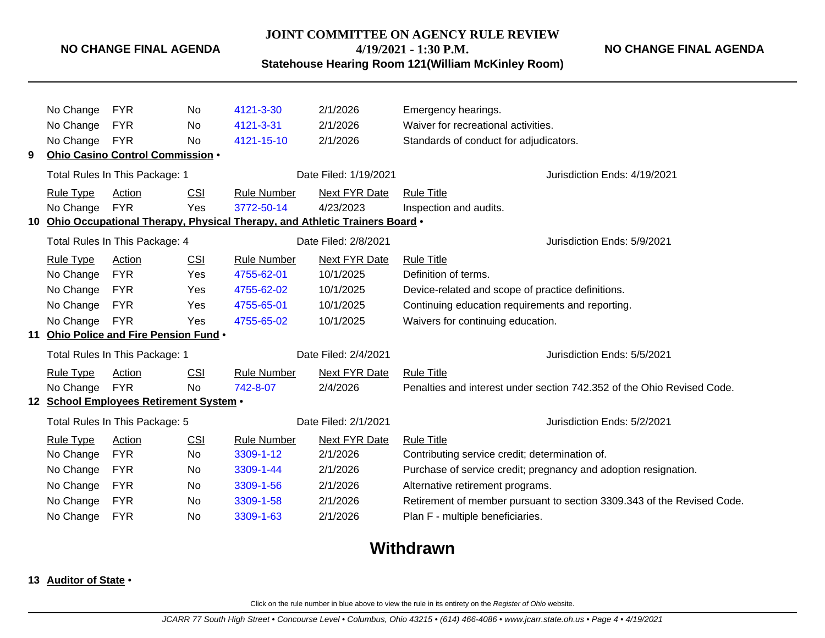#### **JOINT COMMITTEE ON AGENCY RULE REVIEW**

**4/19/2021 - 1:30 P.M.**

**NO CHANGE FINAL AGENDA**

**Statehouse Hearing Room 121(William McKinley Room)**

No Change FYR No [4121-3-30](http://www.registerofohio.state.oh.us/jsps/publicdisplayrules/processPublicDisplayRules.jsp?entered_rule_no=4121-3-30&doWhat=GETBYRULENUM&raID=0) 2/1/2026 Emergency hearings. No Change FYR No [4121-3-31](http://www.registerofohio.state.oh.us/jsps/publicdisplayrules/processPublicDisplayRules.jsp?entered_rule_no=4121-3-31&doWhat=GETBYRULENUM&raID=0) 2/1/2026 Waiver for recreational activities. No Change FYR No [4121-15-10](http://www.registerofohio.state.oh.us/jsps/publicdisplayrules/processPublicDisplayRules.jsp?entered_rule_no=4121-15-10&doWhat=GETBYRULENUM&raID=0) 2/1/2026 Standards of conduct for adjudicators. **9 Ohio Casino Control Commission** • Total Rules In This Package: 1 **Date Filed: 1/19/2021** Jurisdiction Ends: 4/19/2021 Rule Type Action CSI Rule Number Next FYR Date Rule Title No Change FYR Yes [3772-50-14](http://www.registerofohio.state.oh.us/jsps/publicdisplayrules/processPublicDisplayRules.jsp?entered_rule_no=3772-50-14&doWhat=GETBYRULENUM&raID=0) 4/23/2023 Inspection and audits. **10 Ohio Occupational Therapy, Physical Therapy, and Athletic Trainers Board** • Total Rules In This Package: 4 Date Filed: 2/8/2021 Jurisdiction Ends: 5/9/2021 Rule Type Action CSI Rule Number Next FYR Date Rule Title No Change FYR Yes [4755-62-01](http://www.registerofohio.state.oh.us/jsps/publicdisplayrules/processPublicDisplayRules.jsp?entered_rule_no=4755-62-01&doWhat=GETBYRULENUM&raID=0) 10/1/2025 Definition of terms. No Change FYR Yes [4755-62-02](http://www.registerofohio.state.oh.us/jsps/publicdisplayrules/processPublicDisplayRules.jsp?entered_rule_no=4755-62-02&doWhat=GETBYRULENUM&raID=0) 10/1/2025 Device-related and scope of practice definitions. No Change FYR Yes [4755-65-01](http://www.registerofohio.state.oh.us/jsps/publicdisplayrules/processPublicDisplayRules.jsp?entered_rule_no=4755-65-01&doWhat=GETBYRULENUM&raID=0) 10/1/2025 Continuing education requirements and reporting. No Change FYR Yes [4755-65-02](http://www.registerofohio.state.oh.us/jsps/publicdisplayrules/processPublicDisplayRules.jsp?entered_rule_no=4755-65-02&doWhat=GETBYRULENUM&raID=0) 10/1/2025 Waivers for continuing education. **11 Ohio Police and Fire Pension Fund** • Total Rules In This Package: 1 Date Filed: 2/4/2021 Jurisdiction Ends: 5/5/2021 Rule Type Action CSI Rule Number Next FYR Date Rule Title No Change FYR No  $742-8-07$  2/4/2026 Penalties and interest under section 742.352 of the Ohio Revised Code. **12 School Employees Retirement System** • Total Rules In This Package: 5 <br>
Date Filed: 2/1/2021 <br>
Date Filed: 2/1/2021 Rule Type Action CSI Rule Number Next FYR Date Rule Title No Change FYR No [3309-1-12](http://www.registerofohio.state.oh.us/jsps/publicdisplayrules/processPublicDisplayRules.jsp?entered_rule_no=3309-1-12&doWhat=GETBYRULENUM&raID=0) 2/1/2026 Contributing service credit; determination of. No Change FYR No [3309-1-44](http://www.registerofohio.state.oh.us/jsps/publicdisplayrules/processPublicDisplayRules.jsp?entered_rule_no=3309-1-44&doWhat=GETBYRULENUM&raID=0) 2/1/2026 Purchase of service credit; pregnancy and adoption resignation. No Change FYR No [3309-1-56](http://www.registerofohio.state.oh.us/jsps/publicdisplayrules/processPublicDisplayRules.jsp?entered_rule_no=3309-1-56&doWhat=GETBYRULENUM&raID=0) 2/1/2026 Alternative retirement programs. No Change FYR No [3309-1-58](http://www.registerofohio.state.oh.us/jsps/publicdisplayrules/processPublicDisplayRules.jsp?entered_rule_no=3309-1-58&doWhat=GETBYRULENUM&raID=0) 2/1/2026 Retirement of member pursuant to section 3309.343 of the Revised Code. No Change FYR No [3309-1-63](http://www.registerofohio.state.oh.us/jsps/publicdisplayrules/processPublicDisplayRules.jsp?entered_rule_no=3309-1-63&doWhat=GETBYRULENUM&raID=0) 2/1/2026 Plan F - multiple beneficiaries.

# **Withdrawn**

#### **13 Auditor of State** •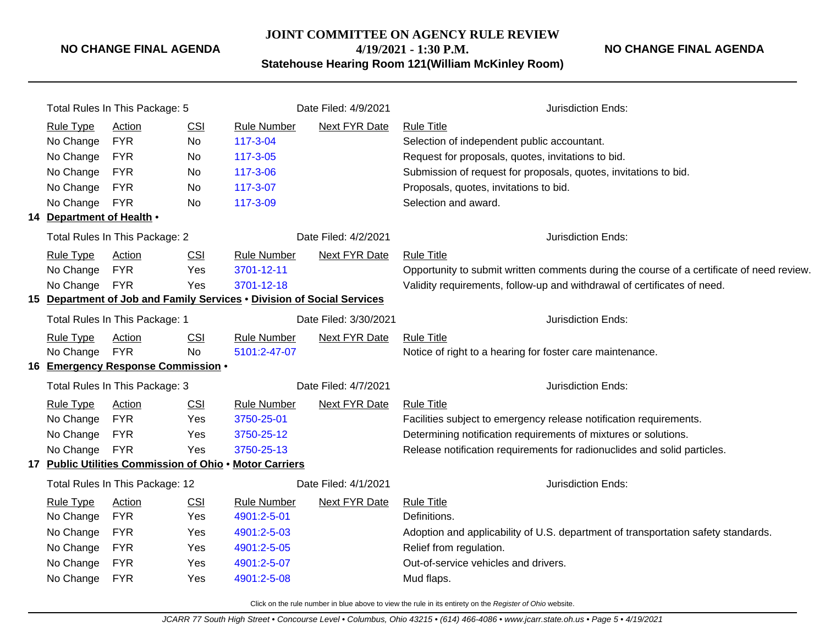#### **JOINT COMMITTEE ON AGENCY RULE REVIEW**

**NO CHANGE FINAL AGENDA**

**4/19/2021 - 1:30 P.M. Statehouse Hearing Room 121(William McKinley Room)**

| Total Rules In This Package: 5                                         |                                    |                       | Date Filed: 4/9/2021 | Jurisdiction Ends:   |                                                                                           |  |  |
|------------------------------------------------------------------------|------------------------------------|-----------------------|----------------------|----------------------|-------------------------------------------------------------------------------------------|--|--|
| <b>Rule Type</b>                                                       | Action                             | <b>CSI</b>            | <b>Rule Number</b>   | Next FYR Date        | <b>Rule Title</b>                                                                         |  |  |
| No Change                                                              | <b>FYR</b>                         | No                    | 117-3-04             |                      | Selection of independent public accountant.                                               |  |  |
| No Change                                                              | <b>FYR</b>                         | No                    | 117-3-05             |                      | Request for proposals, quotes, invitations to bid.                                        |  |  |
| No Change                                                              | <b>FYR</b>                         | No                    | 117-3-06             |                      | Submission of request for proposals, quotes, invitations to bid.                          |  |  |
| No Change                                                              | <b>FYR</b>                         | <b>No</b>             | 117-3-07             |                      | Proposals, quotes, invitations to bid.                                                    |  |  |
| No Change                                                              | <b>FYR</b>                         | <b>No</b>             | 117-3-09             |                      | Selection and award.                                                                      |  |  |
| 14 Department of Health .                                              |                                    |                       |                      |                      |                                                                                           |  |  |
|                                                                        | Total Rules In This Package: 2     |                       | Date Filed: 4/2/2021 | Jurisdiction Ends:   |                                                                                           |  |  |
| <b>Rule Type</b>                                                       | Action                             | <b>CSI</b>            | <b>Rule Number</b>   | <b>Next FYR Date</b> | <b>Rule Title</b>                                                                         |  |  |
| No Change                                                              | <b>FYR</b>                         | Yes                   | 3701-12-11           |                      | Opportunity to submit written comments during the course of a certificate of need review. |  |  |
| No Change                                                              | <b>FYR</b>                         | Yes                   | 3701-12-18           |                      | Validity requirements, follow-up and withdrawal of certificates of need.                  |  |  |
| 15 Department of Job and Family Services . Division of Social Services |                                    |                       |                      |                      |                                                                                           |  |  |
| Total Rules In This Package: 1                                         |                                    | Date Filed: 3/30/2021 |                      | Jurisdiction Ends:   |                                                                                           |  |  |
| <b>Rule Type</b>                                                       | <b>Action</b>                      | CSI                   | <b>Rule Number</b>   | Next FYR Date        | <b>Rule Title</b>                                                                         |  |  |
| No Change                                                              | <b>FYR</b>                         | <b>No</b>             | 5101:2-47-07         |                      | Notice of right to a hearing for foster care maintenance.                                 |  |  |
|                                                                        | 16 Emergency Response Commission . |                       |                      |                      |                                                                                           |  |  |
| Total Rules In This Package: 3<br>Date Filed: 4/7/2021                 |                                    |                       | Jurisdiction Ends:   |                      |                                                                                           |  |  |
| <b>Rule Type</b>                                                       | <b>Action</b>                      | <b>CSI</b>            | <b>Rule Number</b>   | <b>Next FYR Date</b> | <b>Rule Title</b>                                                                         |  |  |
| No Change                                                              | <b>FYR</b>                         | Yes                   | 3750-25-01           |                      | Facilities subject to emergency release notification requirements.                        |  |  |
| No Change                                                              | <b>FYR</b>                         | Yes                   | 3750-25-12           |                      | Determining notification requirements of mixtures or solutions.                           |  |  |
| No Change                                                              | <b>FYR</b>                         | Yes                   | 3750-25-13           |                      | Release notification requirements for radionuclides and solid particles.                  |  |  |
| 17 Public Utilities Commission of Ohio . Motor Carriers                |                                    |                       |                      |                      |                                                                                           |  |  |
|                                                                        | Total Rules In This Package: 12    |                       | Date Filed: 4/1/2021 | Jurisdiction Ends:   |                                                                                           |  |  |
| <b>Rule Type</b>                                                       | Action                             | CSI                   | <b>Rule Number</b>   | Next FYR Date        | <b>Rule Title</b>                                                                         |  |  |
| No Change                                                              | <b>FYR</b>                         | Yes                   | 4901:2-5-01          |                      | Definitions.                                                                              |  |  |
| No Change                                                              | <b>FYR</b>                         | Yes                   | 4901:2-5-03          |                      | Adoption and applicability of U.S. department of transportation safety standards.         |  |  |
| No Change                                                              | <b>FYR</b>                         | Yes                   | 4901:2-5-05          |                      | Relief from regulation.                                                                   |  |  |
| No Change                                                              | <b>FYR</b>                         | Yes                   | 4901:2-5-07          |                      | Out-of-service vehicles and drivers.                                                      |  |  |
| No Change                                                              | <b>FYR</b>                         | Yes                   | 4901:2-5-08          |                      | Mud flaps.                                                                                |  |  |
|                                                                        |                                    |                       |                      |                      |                                                                                           |  |  |